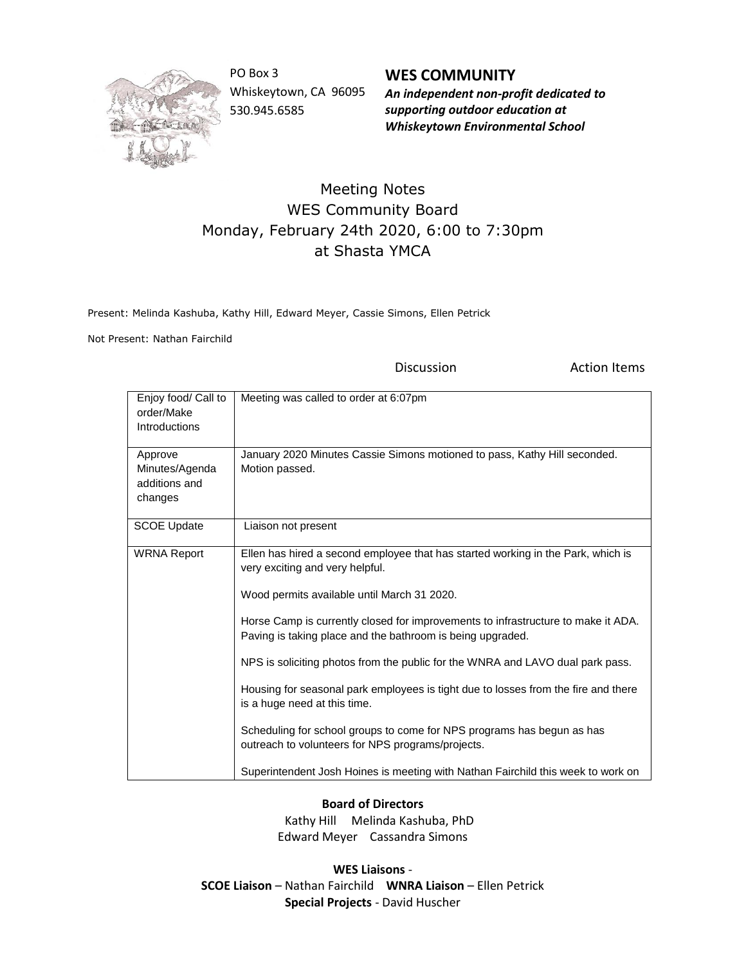

PO Box 3 Whiskeytown, CA 96095 530.945.6585

**WES COMMUNITY** *An independent non-profit dedicated to supporting outdoor education at Whiskeytown Environmental School*

## Meeting Notes WES Community Board Monday, February 24th 2020, 6:00 to 7:30pm at Shasta YMCA

Present: Melinda Kashuba, Kathy Hill, Edward Meyer, Cassie Simons, Ellen Petrick

Not Present: Nathan Fairchild

Discussion **Action Items** 

| Enjoy food/ Call to<br>order/Make<br>Introductions    | Meeting was called to order at 6:07pm                                                                                                                                                                                                                                                                                                                                                                                                                                                                                                                                                                                                                                                                                                            |
|-------------------------------------------------------|--------------------------------------------------------------------------------------------------------------------------------------------------------------------------------------------------------------------------------------------------------------------------------------------------------------------------------------------------------------------------------------------------------------------------------------------------------------------------------------------------------------------------------------------------------------------------------------------------------------------------------------------------------------------------------------------------------------------------------------------------|
| Approve<br>Minutes/Agenda<br>additions and<br>changes | January 2020 Minutes Cassie Simons motioned to pass, Kathy Hill seconded.<br>Motion passed.                                                                                                                                                                                                                                                                                                                                                                                                                                                                                                                                                                                                                                                      |
| <b>SCOE Update</b>                                    | Liaison not present                                                                                                                                                                                                                                                                                                                                                                                                                                                                                                                                                                                                                                                                                                                              |
| <b>WRNA Report</b>                                    | Ellen has hired a second employee that has started working in the Park, which is<br>very exciting and very helpful.<br>Wood permits available until March 31 2020.<br>Horse Camp is currently closed for improvements to infrastructure to make it ADA.<br>Paving is taking place and the bathroom is being upgraded.<br>NPS is soliciting photos from the public for the WNRA and LAVO dual park pass.<br>Housing for seasonal park employees is tight due to losses from the fire and there<br>is a huge need at this time.<br>Scheduling for school groups to come for NPS programs has begun as has<br>outreach to volunteers for NPS programs/projects.<br>Superintendent Josh Hoines is meeting with Nathan Fairchild this week to work on |

**Board of Directors**

 Kathy Hill Melinda Kashuba, PhD Edward Meyer Cassandra Simons

**WES Liaisons** - **SCOE Liaison** – Nathan Fairchild **WNRA Liaison** – Ellen Petrick **Special Projects** - David Huscher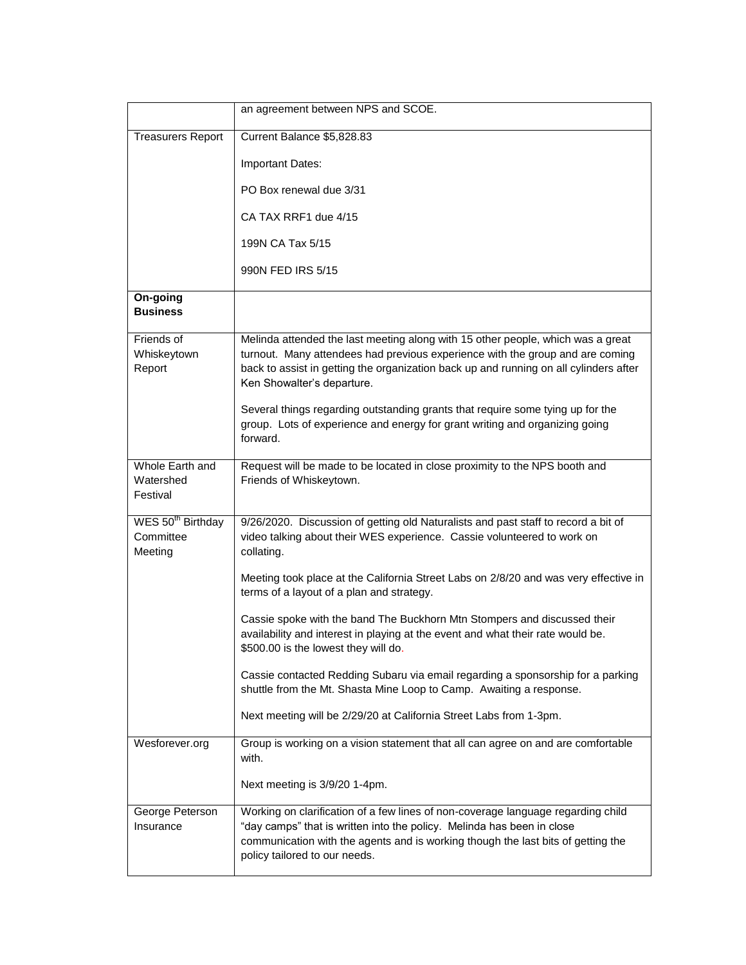|                                                       | an agreement between NPS and SCOE.                                                                                                                                                                                                                                                      |
|-------------------------------------------------------|-----------------------------------------------------------------------------------------------------------------------------------------------------------------------------------------------------------------------------------------------------------------------------------------|
| <b>Treasurers Report</b>                              | Current Balance \$5,828.83                                                                                                                                                                                                                                                              |
|                                                       | Important Dates:                                                                                                                                                                                                                                                                        |
|                                                       | PO Box renewal due 3/31                                                                                                                                                                                                                                                                 |
|                                                       | CA TAX RRF1 due 4/15                                                                                                                                                                                                                                                                    |
|                                                       | 199N CA Tax 5/15                                                                                                                                                                                                                                                                        |
|                                                       | 990N FED IRS 5/15                                                                                                                                                                                                                                                                       |
| On-going<br><b>Business</b>                           |                                                                                                                                                                                                                                                                                         |
| Friends of<br>Whiskeytown<br>Report                   | Melinda attended the last meeting along with 15 other people, which was a great<br>turnout. Many attendees had previous experience with the group and are coming<br>back to assist in getting the organization back up and running on all cylinders after<br>Ken Showalter's departure. |
|                                                       | Several things regarding outstanding grants that require some tying up for the<br>group. Lots of experience and energy for grant writing and organizing going<br>forward.                                                                                                               |
| Whole Earth and<br>Watershed<br>Festival              | Request will be made to be located in close proximity to the NPS booth and<br>Friends of Whiskeytown.                                                                                                                                                                                   |
| WES 50 <sup>th</sup> Birthday<br>Committee<br>Meeting | 9/26/2020. Discussion of getting old Naturalists and past staff to record a bit of<br>video talking about their WES experience. Cassie volunteered to work on<br>collating.                                                                                                             |
|                                                       | Meeting took place at the California Street Labs on 2/8/20 and was very effective in<br>terms of a layout of a plan and strategy.                                                                                                                                                       |
|                                                       | Cassie spoke with the band The Buckhorn Mtn Stompers and discussed their<br>availability and interest in playing at the event and what their rate would be.<br>\$500.00 is the lowest they will do.                                                                                     |
|                                                       | Cassie contacted Redding Subaru via email regarding a sponsorship for a parking<br>shuttle from the Mt. Shasta Mine Loop to Camp. Awaiting a response.                                                                                                                                  |
|                                                       | Next meeting will be 2/29/20 at California Street Labs from 1-3pm.                                                                                                                                                                                                                      |
| Wesforever.org                                        | Group is working on a vision statement that all can agree on and are comfortable<br>with.                                                                                                                                                                                               |
|                                                       | Next meeting is 3/9/20 1-4pm.                                                                                                                                                                                                                                                           |
| George Peterson<br>Insurance                          | Working on clarification of a few lines of non-coverage language regarding child<br>"day camps" that is written into the policy. Melinda has been in close<br>communication with the agents and is working though the last bits of getting the<br>policy tailored to our needs.         |